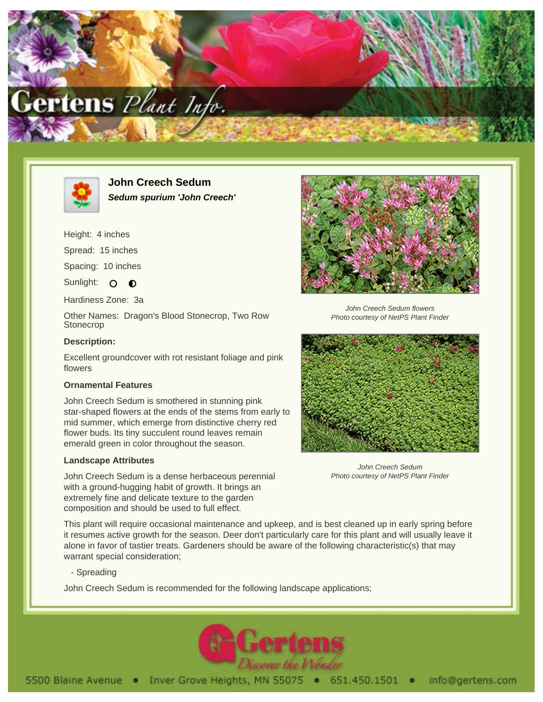



**John Creech Sedum Sedum spurium 'John Creech'**

Height: 4 inches

Spread: 15 inches

Spacing: 10 inches

Sunlight: O O

Hardiness Zone: 3a

Other Names: Dragon's Blood Stonecrop, Two Row **Stonecrop** 

## **Description:**

Excellent groundcover with rot resistant foliage and pink flowers

## **Ornamental Features**

John Creech Sedum is smothered in stunning pink star-shaped flowers at the ends of the stems from early to mid summer, which emerge from distinctive cherry red flower buds. Its tiny succulent round leaves remain emerald green in color throughout the season.

## **Landscape Attributes**

John Creech Sedum is a dense herbaceous perennial with a ground-hugging habit of growth. It brings an extremely fine and delicate texture to the garden composition and should be used to full effect.



John Creech Sedum flowers Photo courtesy of NetPS Plant Finder



John Creech Sedum Photo courtesy of NetPS Plant Finder

This plant will require occasional maintenance and upkeep, and is best cleaned up in early spring before it resumes active growth for the season. Deer don't particularly care for this plant and will usually leave it alone in favor of tastier treats. Gardeners should be aware of the following characteristic(s) that may warrant special consideration;

- Spreading

John Creech Sedum is recommended for the following landscape applications;